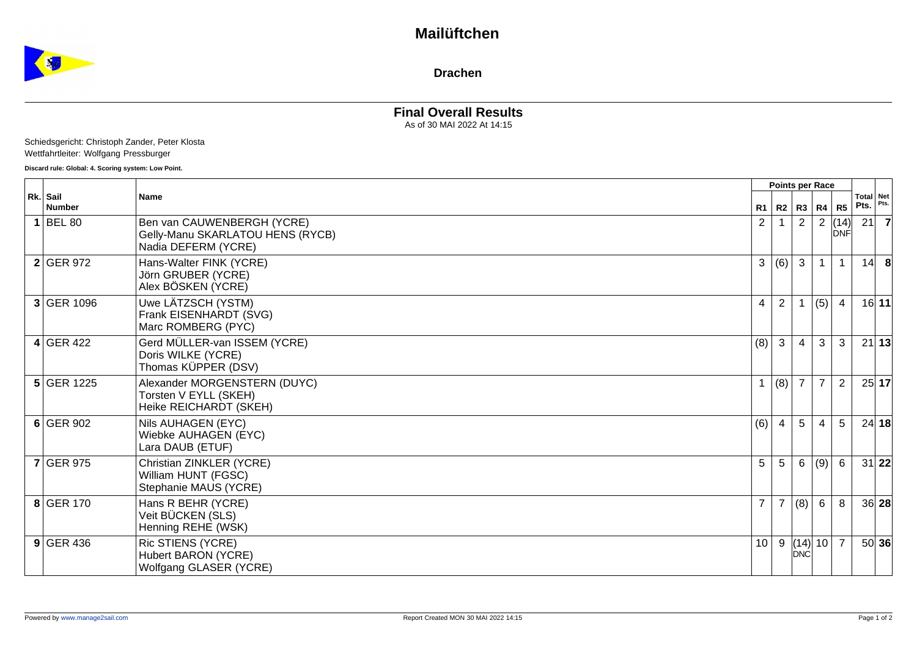### **Mailüftchen**



**Drachen**

# **Final Overall Results**

As of 30 MAI 2022 At 14:15

#### Schiedsgericht: Christoph Zander, Peter Klosta Wettfahrtleiter: Wolfgang Pressburger

**Discard rule: Global: 4. Scoring system: Low Point.**

|   |                           | Name                                                                                  |                | Points per Race |                |                |                    |                   |       |
|---|---------------------------|---------------------------------------------------------------------------------------|----------------|-----------------|----------------|----------------|--------------------|-------------------|-------|
|   | Rk. Sail<br><b>Number</b> |                                                                                       | R1             |                 | $R2$ $R3$      | R4             | R <sub>5</sub>     | Total Net<br>Pts. | Pts.  |
| 1 | <b>BEL 80</b>             | Ben van CAUWENBERGH (YCRE)<br>Gelly-Manu SKARLATOU HENS (RYCB)<br>Nadia DEFERM (YCRE) | $\overline{2}$ |                 | $\overline{2}$ | $\overline{2}$ | (14)<br><b>DNF</b> | 21                |       |
|   | $2$ GER 972               | Hans-Walter FINK (YCRE)<br>Jörn GRUBER (YCRE)<br>Alex BÖSKEN (YCRE)                   | 3 <sup>1</sup> | (6)             | $\mathbf{3}$   |                | $\mathbf{1}$       | 14                | -8    |
|   | 3 GER 1096                | Uwe LÄTZSCH (YSTM)<br>Frank EISENHARDT (SVG)<br>Marc ROMBERG (PYC)                    | $\overline{4}$ | $\overline{2}$  |                | (5)            | $\overline{4}$     |                   | 16 11 |
|   | $4$ GER 422               | Gerd MÜLLER-van ISSEM (YCRE)<br>Doris WILKE (YCRE)<br>Thomas KÜPPER (DSV)             | (8)            | 3               | $\overline{4}$ | 3              | 3                  |                   | 21 13 |
|   | 5 GER 1225                | Alexander MORGENSTERN (DUYC)<br>Torsten V EYLL (SKEH)<br>Heike REICHARDT (SKEH)       |                | (8)             | $\overline{7}$ | $\overline{7}$ | $\overline{2}$     |                   | 25 17 |
|   | $6$ GER 902               | Nils AUHAGEN (EYC)<br>Wiebke AUHAGEN (EYC)<br>Lara DAUB (ETUF)                        | (6)            | $\overline{4}$  | 5              | $\overline{4}$ | 5                  |                   | 24 18 |
|   | $7$ GER 975               | Christian ZINKLER (YCRE)<br>William HUNT (FGSC)<br>Stephanie MAUS (YCRE)              | 5              | 5               | 6              | (9)            | 6                  | 31                | 22    |
|   | 8 GER 170                 | Hans R BEHR (YCRE)<br>Veit BÜCKEN (SLS)<br>Henning REHE (WSK)                         | $\overline{7}$ | $\overline{7}$  | (8)            | $6\phantom{1}$ | 8                  |                   | 36 28 |
|   | $9$ GER 436               | Ric STIENS (YCRE)<br>Hubert BARON (YCRE)<br>Wolfgang GLASER (YCRE)                    | 10             | 9               | (14) 10<br>DNC |                | $\overline{7}$     |                   | 50 36 |